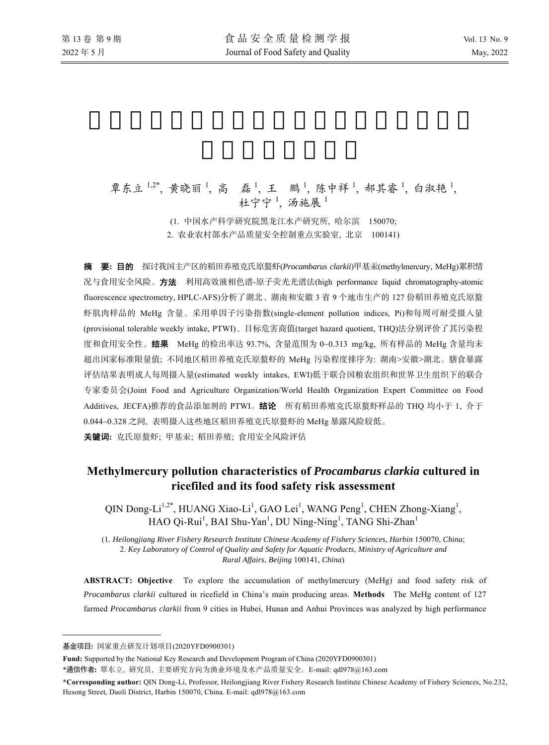# 覃东立1,2\*,黄晓丽1, 高 磊1, 王 鹏1, 陈中祥1, 郝其睿1, 白淑艳1, 杜宁宁<sup>1</sup>, 汤施展<sup>1</sup>

(1. 中国水产科学研究院黑龙江水产研究所, 哈尔滨 150070; 2. 农业农村部水产品质量安全控制重点实验室, 北京 100141)

摘要**:** 目的 探讨我国主产区的稻田养殖克氏原螯虾(*Procambarus clarkii*)甲基汞(methylmercury, MeHg)累积情 况与食用安全风险。方法利用高效液相色谱-原子荧光光谱法(high performance liquid chromatography-atomic fluorescence spectrometry, HPLC-AFS)分析了湖北、湖南和安徽 3 省 9 个地市生产的 127 份稻田养殖克氏原螯 虾肌肉样品的 MeHg 含量。采用单因子污染指数(single-element pollution indices, Pi)和每周可耐受摄入量 (provisional tolerable weekly intake, PTWI)、目标危害商值(target hazard quotient, THQ)法分别评价了其污染程 度和食用安全性。结果MeHg 的检出率达 93.7%, 含量范围为 0~0.313 mg/kg, 所有样品的 MeHg 含量均未 超出国家标准限量值; 不同地区稻田养殖克氏原螯虾的 MeHg 污染程度排序为: 湖南>安徽>湖北。膳食暴露 评估结果表明成人每周摄入量(estimated weekly intakes, EWI)低于联合国粮农组织和世界卫生组织下的联合 专家委员会(Joint Food and Agriculture Organization/World Health Organization Expert Committee on Food Additives, JECFA)推荐的食品添加剂的 PTWI。结论所有稻田养殖克氏原螯虾样品的 THQ 均小于 1, 介于 0.044~0.328 之间, 表明摄入这些地区稻田养殖克氏原螯虾的 MeHg 暴露风险较低。

关键词**:** 克氏原螯虾; 甲基汞; 稻田养殖; 食用安全风险评估

# **Methylmercury pollution characteristics of** *Procambarus clarkia* **cultured in ricefiled and its food safety risk assessment**

QIN Dong-Li<sup>1,2\*</sup>, HUANG Xiao-Li<sup>1</sup>, GAO Lei<sup>1</sup>, WANG Peng<sup>1</sup>, CHEN Zhong-Xiang<sup>1</sup>, HAO Qi-Rui<sup>1</sup>, BAI Shu-Yan<sup>1</sup>, DU Ning-Ning<sup>1</sup>, TANG Shi-Zhan<sup>1</sup>

(1. *Heilongjiang River Fishery Research Institute Chinese Academy of Fishery Sciences*, *Harbin* 150070, *China*; 2. *Key Laboratory of Control of Quality and Safety for Aquatic Products*, *Ministry of Agriculture and Rural Affairs*, *Beijing* 100141, *China*)

**ABSTRACT: Objective** To explore the accumulation of methylmercury (MeHg) and food safety risk of *Procambarus clarkii* cultured in ricefield in China's main producing areas. **Methods** The MeHg content of 127 farmed *Procambarus clarkii* from 9 cities in Hubei, Hunan and Anhui Provinces was analyzed by high performance

 $\overline{a}$ 

基金项目**:** 国家重点研发计划项目(2020YFD0900301)

**Fund:** Supported by the National Key Research and Development Program of China (2020YFD0900301)

<sup>\*</sup>通信作者**:** 覃东立, 研究员, 主要研究方向为渔业环境及水产品质量安全。E-mail: qdl978@163.com

<sup>\*</sup>**Corresponding author:** QIN Dong-Li, Professor, Heilongjiang River Fishery Research Institute Chinese Academy of Fishery Sciences, No.232, Hesong Street, Daoli District, Harbin 150070, China. E-mail: qdl978@163.com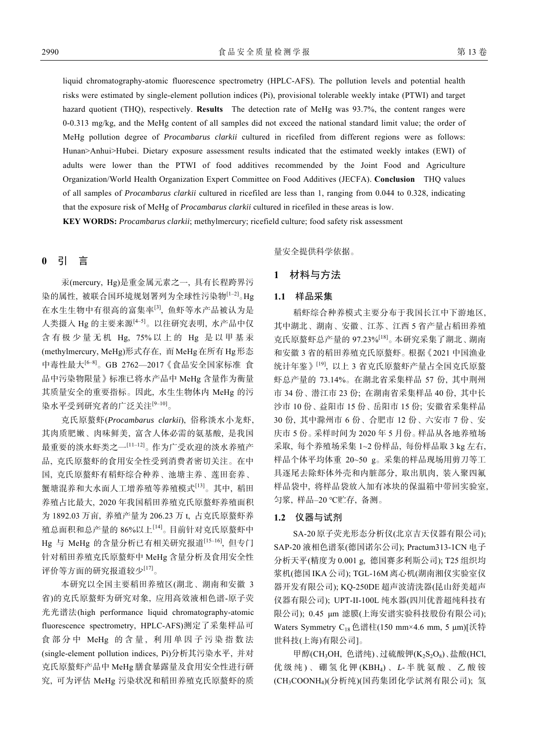liquid chromatography-atomic fluorescence spectrometry (HPLC-AFS). The pollution levels and potential health risks were estimated by single-element pollution indices (Pi), provisional tolerable weekly intake (PTWI) and target hazard quotient (THQ), respectively. **Results** The detection rate of MeHg was 93.7%, the content ranges were 0-0.313 mg/kg, and the MeHg content of all samples did not exceed the national standard limit value; the order of MeHg pollution degree of *Procambarus clarkii* cultured in ricefiled from different regions were as follows: Hunan>Anhui>Hubei. Dietary exposure assessment results indicated that the estimated weekly intakes (EWI) of adults were lower than the PTWI of food additives recommended by the Joint Food and Agriculture Organization/World Health Organization Expert Committee on Food Additives (JECFA). **Conclusion** THQ values of all samples of *Procambarus clarkii* cultured in ricefiled are less than 1, ranging from 0.044 to 0.328, indicating that the exposure risk of MeHg of *Procambarus clarkii* cultured in ricefiled in these areas is low.

**KEY WORDS:** *Procambarus clarkii*; methylmercury; ricefield culture; food safety risk assessment

# **0** 引 言

汞(mercury, Hg)是重金属元素之一, 具有长程跨界污 染的属性, 被联合国环境规划署列为全球性污染物<sup>[1-2]</sup>。Hg 在水生生物中有很高的富集率[3], 鱼虾等水产品被认为是 人类摄入 Hg 的主要来源<sup>[4-5]</sup>。以往研究表明, 水产品中仅 含有极少量无机 Hg, 75% 以上的 Hg 是以甲基汞 (methylmercury, MeHg)形式存在, 而 MeHg 在所有 Hg 形态 中毒性最大<sup>[6-8]</sup>。GB 2762—2017《食品安全国家标准 食 品中污染物限量》标准已将水产品中 MeHg 含量作为衡量 其质量安全的重要指标。因此, 水生生物体内 MeHg 的污 染水平受到研究者的广泛关注<sup>[9-10]</sup>。

克氏原螯虾(*Procambarus clarkii*), 俗称淡水小龙虾, 其肉质肥嫩、肉味鲜美, 富含人体必需的氨基酸, 是我国 最重要的淡水虾类之一[11‒12]。作为广受欢迎的淡水养殖产 品, 克氏原螯虾的食用安全性受到消费者密切关注。在中 国, 克氏原螯虾有稻虾综合种养、池塘主养、莲田套养、 蟹塘混养和大水面人工增养殖等养殖模式[13]。其中, 稻田 养殖占比最大, 2020 年我国稻田养殖克氏原螯虾养殖面积 为 1892.03 万亩, 养殖产量为 206.23 万 t, 占克氏原螯虾养 殖总面积和总产量的 86%以上[14]。目前针对克氏原螯虾中 Hg 与 MeHg 的含量分析已有相关研究报道<sup>[15-16]</sup>, 但专门 针对稻田养殖克氏原螯虾中 MeHg 含量分析及食用安全性 评价等方面的研究报道较少[17]。

本研究以全国主要稻田养殖区(湖北、湖南和安徽 3 省)的克氏原螯虾为研究对象, 应用高效液相色谱-原子荧 光光谱法(high performance liquid chromatography-atomic fluorescence spectrometry, HPLC-AFS)测定了采集样品可 食部分中 MeHg 的含量, 利用单因子污染指数法 (single-element pollution indices, Pi)分析其污染水平, 并对 克氏原螯虾产品中 MeHg 膳食暴露量及食用安全性进行研 究, 可为评估 MeHg 污染状况和稻田养殖克氏原螯虾的质

量安全提供科学依据。

# **1** 材料与方法

#### **1.1** 样品采集

稻虾综合种养模式主要分布于我国长江中下游地区, 其中湖北、湖南、安徽、江苏、江西 5 省产量占稻田养殖 克氏原螯虾总产量的 97.23%[18]。本研究采集了湖北、湖南 和安徽 3 省的稻田养殖克氏原螯虾。根据《2021 中国渔业 统计年鉴》[19], 以上 3 省克氏原螯虾产量占全国克氏原螯 虾总产量的 73.14%。在湖北省采集样品 57 份, 其中荆州 市 34 份、潜江市 23 份; 在湖南省采集样品 40 份, 其中长 沙市 10 份、益阳市 15 份、岳阳市 15 份; 安徽省采集样品 30 份, 其中滁州市 6 份、合肥市 12 份、六安市 7 份、安 庆市 5 份。采样时间为 2020 年 5 月份。样品从各地养殖场 采取, 每个养殖场采集 1~2 份样品, 每份样品取 3 kg 左右, 样品个体平均体重 20~50 g。采集的样品现场用剪刀等工 具逐尾去除虾体外壳和内脏部分, 取出肌肉, 装入聚四氟 样品袋中, 将样品袋放入加有冰块的保温箱中带回实验室, 匀浆, 样品‒20 ℃贮存, 备测。

#### **1.2** 仪器与试剂

SA-20 原子荧光形态分析仪(北京吉天仪器有限公司); SAP-20 液相色谱泵(德国诺尔公司); Practum313-1CN 电子 分析天平(精度为 0.001 g, 德国赛多利斯公司); T25 组织均 浆机(德国 IKA 公司); TGL-16M 离心机(湖南湘仪实验室仪 器开发有限公司); KQ-250DE 超声波清洗器(昆山舒美超声 仪器有限公司); UPT-II-100L 纯水器(四川优普超纯科技有 限公司); 0.45 μm 滤膜(上海安谱实验科技股份有限公司); Waters Symmetry  $C_{18}$ 色谱柱(150 mm×4.6 mm, 5 µm)[沃特 世科技(上海)有限公司]。

甲醇(CH<sub>3</sub>OH, 色谱纯)、过硫酸钾(K<sub>2</sub>S<sub>2</sub>O<sub>8</sub>)、盐酸(HCl, 优级纯 ) 、硼氢化钾 (KBH4) 、 *L*- 半胱氨酸、乙酸铵 (CH3COONH4)(分析纯)(国药集团化学试剂有限公司); 氢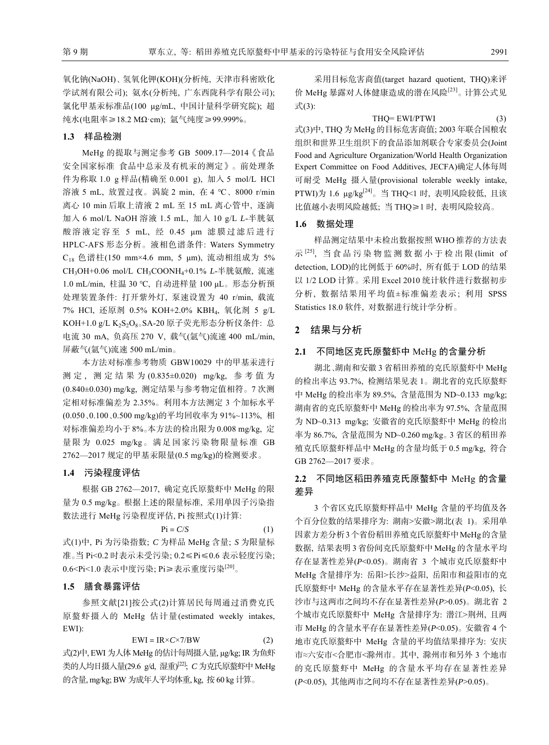氧化钠(NaOH)、氢氧化钾(KOH)(分析纯, 天津市科密欧化 学试剂有限公司); 氨水(分析纯, 广东西陇科学有限公司); 氯化甲基汞标准品(100 μg/mL, 中国计量科学研究院); 超 纯水(电阻率≥18.2 MΩꞏcm); 氩气纯度≥99.999%。

#### **1.3** 样品检测

MeHg 的提取与测定参考 GB 5009.17—2014《食品 安全国家标准 食品中总汞及有机汞的测定》。前处理条 件为称取 1.0 g 样品(精确至 0.001 g), 加入 5 mol/L HCl 溶液 5 mL, 放置过夜。涡旋 2 min, 在 4 ℃、8000 r/min 离心 10 min 后取上清液 2 mL 至 15 mL 离心管中, 逐滴 加入 6 mol/L NaOH 溶液 1.5 mL, 加入 10 g/L *L*-半胱氨 酸溶液定容至 5 mL, 经 0.45 μm 滤膜过滤后进行 HPLC-AFS 形态分析。液相色谱条件: Waters Symmetry C18 色谱柱(150 mm×4.6 mm, 5 μm), 流动相组成为 5% CH3OH+0.06 mol/L CH3COONH4+0.1% *L*-半胱氨酸, 流速 1.0 mL/min, 柱温 30 ℃, 自动进样量 100 μL。形态分析预 处理装置条件: 打开紫外灯, 泵速设置为 40 r/min, 载流 7% HCl, 还原剂 0.5% KOH+2.0% KBH4, 氧化剂 5 g/L KOH+1.0 g/L K<sub>2</sub>S<sub>2</sub>O<sub>8</sub>. SA-20 原子荧光形态分析仪条件: 总 电流 30 mA, 负高压 270 V, 载气(氩气)流速 400 mL/min, 屏蔽气(氩气)流速 500 mL/min。

本方法对标准参考物质 GBW10029 中的甲基汞进行 测 定 , 测定结果为 (0.835±0.020) mg/kg, 参考值为 (0.840±0.030) mg/kg, 测定结果与参考物定值相符。7 次测 定相对标准偏差为 2.35%。利用本方法测定 3 个加标水平 (0.050、0.100、0.500 mg/kg)的平均回收率为 91%~113%, 相 对标准偏差均小于 8%。本方法的检出限为 0.008 mg/kg, 定 量限为 0.025 mg/kg。满足国家污染物限量标准 GB 2762—2017 规定的甲基汞限量(0.5 mg/kg)的检测要求。

#### **1.4** 污染程度评估

根据 GB 2762—2017, 确定克氏原螯虾中 MeHg 的限 量为 0.5 mg/kg。根据上述的限量标准, 采用单因子污染指 数法进行 MeHg 污染程度评估, Pi 按照式(1)计算:

 $\text{Pi} = C/S$  (1)

式(1)中, Pi 为污染指数; *C* 为样品 MeHg 含量; *S* 为限量标 准。当 Pi<0.2 时表示未受污染; 0.2≤Pi≤0.6 表示轻度污染; 0.6<Pi<1.0 表示中度污染; Pi≥表示重度污染[20]。

#### **1.5** 膳食暴露评估

参照文献[21]按公式(2)计算居民每周通过消费克氏 原螯虾摄入的 MeHg 估计量(estimated weekly intakes, EWI):

$$
EWI = IR \times C \times 7/BW \tag{2}
$$

式(2)中, EWI 为人体MeHg 的估计每周摄入量, µg/kg; IR 为鱼虾 类的人均日摄入量(29.6 g/d, 湿重)<sup>[22]</sup>; *C* 为克氏原螯虾中 MeHg 的含量, mg/kg; BW 为成年人平均体重, kg, 按 60 kg 计算。

采用目标危害商值(target hazard quotient, THQ)来评 价 MeHg 暴露对人体健康造成的潜在风险<sup>[23]</sup>。计算公式见 式(3):

 $THO = EWI/PTWI$  (3) 式(3)中, THQ 为 MeHg 的目标危害商值; 2003 年联合国粮农 组织和世界卫生组织下的食品添加剂联合专家委员会(Joint Food and Agriculture Organization/World Health Organization Expert Committee on Food Additives, JECFA)确定人体每周 可耐受 MeHg 摄入量(provisional tolerable weekly intake, PTWI)为 1.6 μg/kg<sup>[24]</sup>。当 THQ<1 时, 表明风险较低, 且该 比值越小表明风险越低; 当 THQ≥1 时, 表明风险较高。

#### **1.6** 数据处理

样品测定结果中未检出数据按照 WHO 推荐的方法表 示 $^{[25]}$ , 当食品污染物监测数据小于检出限 (limit of detection, LOD)的比例低于 60%时, 所有低于 LOD 的结果 以 1/2 LOD 计算。采用 Excel 2010 统计软件进行数据初步 分析, 数据结果用平均值±标准偏差表示; 利用 SPSS Statistics 18.0 软件, 对数据进行统计学分析。

## **2** 结果与分析

### **2.1** 不同地区克氏原螯虾中 MeHg 的含量分析

湖北、湖南和安徽 3 省稻田养殖的克氏原螯虾中 MeHg 的检出率达 93.7%, 检测结果见表 1。湖北省的克氏原螯虾 中 MeHg 的检出率为 89.5%, 含量范围为 ND~0.133 mg/kg; 湖南省的克氏原螯虾中 MeHg 的检出率为 97.5%, 含量范围 为 ND~0.313 mg/kg; 安徽省的克氏原螯虾中 MeHg 的检出 率为 86.7%, 含量范围为 ND~0.260 mg/kg。3 省区的稻田养 殖克氏原螯虾样品中 MeHg 的含量均低于 0.5 mg/kg, 符合 GB 2762—2017 要求。

# **2.2** 不同地区稻田养殖克氏原螯虾中 MeHg 的含量 差异

3 个省区克氏原螯虾样品中 MeHg 含量的平均值及各 个百分位数的结果排序为: 湖南>安徽>湖北(表 1)。采用单 因素方差分析3个省份稻田养殖克氏原螯虾中MeHg的含量 数据, 结果表明 3 省份间克氏原螯虾中 MeHg 的含量水平均 存在显著性差异(*P*<0.05)。湖南省 3 个城市克氏原螯虾中 MeHg 含量排序为: 岳阳>长沙>益阳, 岳阳市和益阳市的克 氏原螯虾中 MeHg 的含量水平存在显著性差异(*P*<0.05), 长 沙市与这两市之间均不存在显著性差异(*P*>0.05)。湖北省 2 个城市克氏原螯虾中 MeHg 含量排序为: 潜江>荆州, 且两 市 MeHg 的含量水平存在显著性差异(*P*<0.05)。安徽省 4 个 地市克氏原螯虾中 MeHg 含量的平均值结果排序为: 安庆 市≈六安市<合肥市<滁州市。其中, 滁州市和另外 3 个地市 的克氏原螯虾中 MeHg 的含量水平均存在显著性差异 (*P*<0.05), 其他两市之间均不存在显著性差异(*P*>0.05)。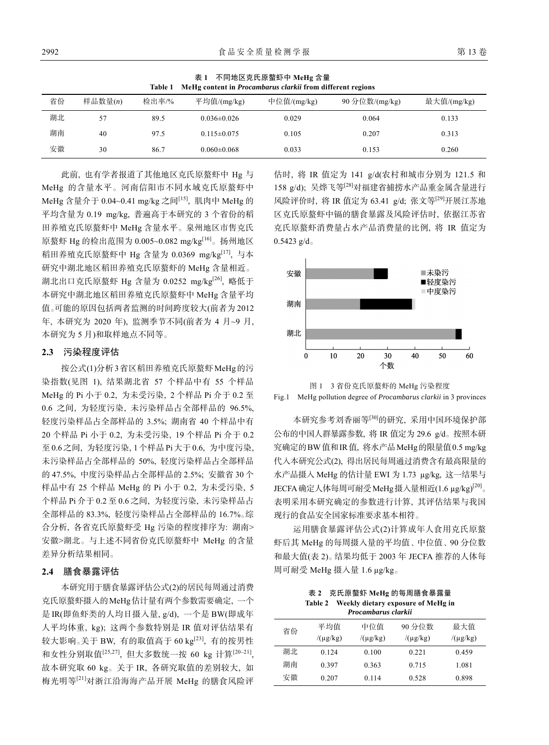| MeHg content in Procambarus clarkii from different regions<br>Table 1 |         |       |                   |             |                |             |  |  |  |
|-----------------------------------------------------------------------|---------|-------|-------------------|-------------|----------------|-------------|--|--|--|
| 省份                                                                    | 样品数量(n) | 检出率/% | 平均值/(mg/kg)       | 中位值/(mg/kg) | 90 分位数/(mg/kg) | 最大值/(mg/kg) |  |  |  |
| 湖北                                                                    | 57      | 89.5  | $0.036 \pm 0.026$ | 0.029       | 0.064          | 0.133       |  |  |  |
| 湖南                                                                    | 40      | 97.5  | $0.115 \pm 0.075$ | 0.105       | 0.207          | 0.313       |  |  |  |
| 安徽                                                                    | 30      | 86.7  | $0.060 \pm 0.068$ | 0.033       | 0.153          | 0.260       |  |  |  |

表 **1** 不同地区克氏原螯虾中 **MeHg** 含量

此前, 也有学者报道了其他地区克氏原螯虾中 Hg 与 MeHg 的含量水平。河南信阳市不同水域克氏原螯虾中 MeHg 含量介于 0.04~0.41 mg/kg 之间[15], 肌肉中 MeHg 的 平均含量为 0.19 mg/kg, 普遍高于本研究的 3 个省份的稻 田养殖克氏原螯虾中 MeHg 含量水平。泉州地区市售克氏 原螯虾 Hg 的检出范围为 0.005~0.082 mg/kg[16]。扬州地区 稻田养殖克氏原螯虾中 Hg 含量为 0.0369 mg/kg[17], 与本 研究中湖北地区稻田养殖克氏原螯虾的 MeHg 含量相近。 湖北出口克氏原螯虾 Hg 含量为 0.0252 mg/kg[26], 略低于 本研究中湖北地区稻田养殖克氏原螯虾中 MeHg 含量平均 值。可能的原因包括两者监测的时间跨度较大(前者为 2012 年, 本研究为 2020 年), 监测季节不同(前者为 4 月~9 月, 本研究为 5 月)和取样地点不同等。

#### **2.3** 污染程度评估

按公式(1)分析3省区稻田养殖克氏原螯虾MeHg的污 染指数(见图 1), 结果湖北省 57 个样品中有 55 个样品 MeHg 的 Pi 小于 0.2, 为未受污染, 2 个样品 Pi 介于 0.2 至 0.6 之间, 为轻度污染, 未污染样品占全部样品的 96.5%, 轻度污染样品占全部样品的 3.5%; 湖南省 40 个样品中有 20 个样品 Pi 小于 0.2, 为未受污染, 19 个样品 Pi 介于 0.2 至 0.6之间, 为轻度污染, 1个样品 Pi大于 0.6, 为中度污染, 未污染样品占全部样品的 50%, 轻度污染样品占全部样品 的 47.5%, 中度污染样品占全部样品的 2.5%; 安徽省 30 个 样品中有 25 个样品 MeHg 的 Pi 小于 0.2, 为未受污染, 5 个样品 Pi 介于 0.2 至 0.6 之间, 为轻度污染, 未污染样品占 全部样品的 83.3%, 轻度污染样品占全部样品的 16.7%。综 合分析, 各省克氏原螯虾受 Hg 污染的程度排序为: 湖南> 安徽>湖北。与上述不同省份克氏原螯虾中 MeHg 的含量 差异分析结果相同。

### **2.4** 膳食暴露评估

本研究用于膳食暴露评估公式(2)的居民每周通过消费 克氏原螯虾摄入的MeHg估计量有两个参数需要确定, 一个 是 IR(即鱼虾类的人均日摄入量, g/d), 一个是 BW(即成年 人平均体重, kg); 这两个参数特别是 IR 值对评估结果有 较大影响。关于 BW, 有的取值高于  $60 \text{ kg}^{[23]}$ , 有的按男性 和女性分别取值[25,27], 但大多数统一按 60 kg 计算<sup>[20-21]</sup>, 故本研究取 60 kg。关于 IR, 各研究取值的差别较大, 如 梅光明等[21]对浙江沿海海产品开展 MeHg 的膳食风险评

估时, 将 IR 值定为 141 g/d(农村和城市分别为 121.5 和 158 g/d); 吴烨飞等[28]对福建省捕捞水产品重金属含量进行 风险评价时, 将 IR 值定为 63.41 g/d; 张文等[29]开展江苏地 区克氏原螯虾中镉的膳食暴露及风险评估时, 依据江苏省 克氏原螯虾消费量占水产品消费量的比例, 将 IR 值定为  $0.5423 \text{ g/d}$ 





本研究参考刘香丽等[30]的研究, 采用中国环境保护部 公布的中国人群暴露参数, 将 IR 值定为 29.6 g/d。按照本研 究确定的BW值和IR值, 将水产品MeHg的限量值0.5 mg/kg 代入本研究公式(2), 得出居民每周通过消费含有最高限量的 水产品摄入 MeHg 的估计量 EWI 为 1.73 µg/kg, 这一结果与 JECFA确定人体每周可耐受MeHg摄入量相近(1.6 µg/kg)[20]。 表明采用本研究确定的参数进行计算, 其评估结果与我国 现行的食品安全国家标准要求基本相符。

运用膳食暴露评估公式(2)计算成年人食用克氏原螯 虾后其 MeHg 的每周摄入量的平均值、中位值、90 分位数 和最大值(表 2)。结果均低于 2003 年 JECFA 推荐的人体每 周可耐受 MeHg 摄入量 1.6 µg/kg。

| 表 2 克氏原螯虾 MeHg 的每周膳食暴露量                    |
|--------------------------------------------|
| Table 2 Weekly dietary exposure of MeHg in |
| Procambarus clarkii                        |

| т поситили из син ка |               |               |               |               |  |  |  |  |
|----------------------|---------------|---------------|---------------|---------------|--|--|--|--|
| 省份                   | 平均值           | 中位值           | 90 分位数        | 最大值           |  |  |  |  |
|                      | $/(\mu g/kg)$ | $/(\mu g/kg)$ | $/(\mu g/kg)$ | $/(\mu g/kg)$ |  |  |  |  |
| 湖北                   | 0.124         | 0.100         | 0.221         | 0.459         |  |  |  |  |
| 湖南                   | 0.397         | 0.363         | 0.715         | 1.081         |  |  |  |  |
| 安徽                   | 0.207         | 0.114         | 0.528         | 0.898         |  |  |  |  |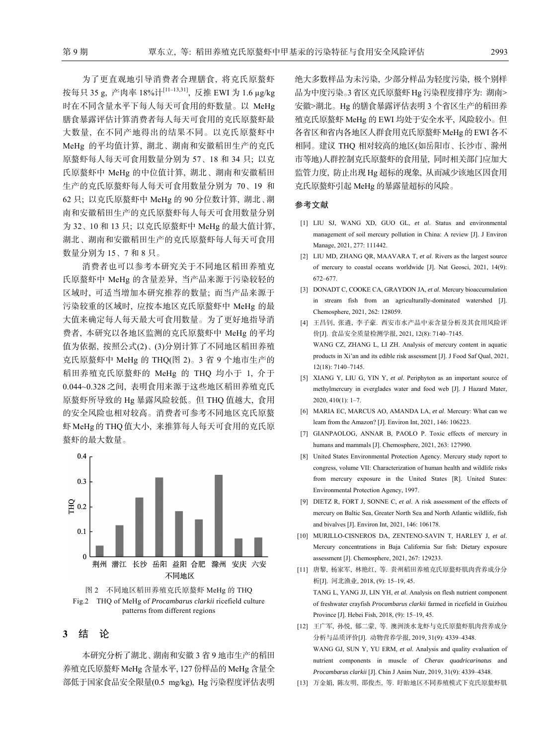为了更直观地引导消费者合理膳食, 将克氏原螯虾 按每只 35 g, 产肉率 18%计[11‒13,31], 反推 EWI 为 1.6 µg/kg 时在不同含量水平下每人每天可食用的虾数量。以 MeHg 膳食暴露评估计算消费者每人每天可食用的克氏原螯虾最 大数量, 在不同产地得出的结果不同。以克氏原螯虾中 MeHg 的平均值计算, 湖北、湖南和安徽稻田生产的克氏 原螯虾每人每天可食用数量分别为 57、18 和 34 只; 以克 氏原螯虾中 MeHg 的中位值计算, 湖北、湖南和安徽稻田 生产的克氏原螯虾每人每天可食用数量分别为 70、19 和 62 只; 以克氏原螯虾中 MeHg 的 90 分位数计算, 湖北、湖 南和安徽稻田生产的克氏原螯虾每人每天可食用数量分别 为 32、10 和 13 只; 以克氏原螯虾中 MeHg 的最大值计算, 湖北、湖南和安徽稻田生产的克氏原螯虾每人每天可食用 数量分别为 15、7 和 8 只。

消费者也可以参考本研究关于不同地区稻田养殖克 氏原螯虾中 MeHg 的含量差异, 当产品来源于污染较轻的 区域时, 可适当增加本研究推荐的数量; 而当产品来源于 污染较重的区域时, 应按本地区克氏原螯虾中 MeHg 的最 大值来确定每人每天最大可食用数量。为了更好地指导消 费者, 本研究以各地区监测的克氏原螯虾中 MeHg 的平均 值为依据, 按照公式(2)、(3)分别计算了不同地区稻田养殖 克氏原螯虾中 MeHg 的 THQ(图 2)。3 省 9 个地市生产的 稻田养殖克氏原螯虾的 MeHg 的 THQ 均小于 1, 介于 0.044~0.328 之间, 表明食用来源于这些地区稻田养殖克氏 原螯虾所导致的 Hg 暴露风险较低。但 THQ 值越大, 食用 的安全风险也相对较高。消费者可参考不同地区克氏原螯 虾 MeHg 的 THQ 值大小, 来推算每人每天可食用的克氏原 螯虾的最大数量。



图 2 不同地区稻田养殖克氏原螯虾 MeHg 的 THQ Fig.2 THQ of MeHg of *Procambarus clarkii* ricefield culture patterns from different regions

## **3** 结 论

本研究分析了湖北、湖南和安徽 3 省 9 地市生产的稻田 养殖克氏原螯虾 MeHg 含量水平, 127 份样品的 MeHg 含量全 部低于国家食品安全限量(0.5 mg/kg), Hg 污染程度评估表明 绝大多数样品为未污染, 少部分样品为轻度污染, 极个别样 品为中度污染。3 省区克氏原螯虾 Hg 污染程度排序为: 湖南> 安徽>湖北。Hg 的膳食暴露评估表明 3 个省区生产的稻田养 殖克氏原螯虾 MeHg 的 EWI 均处于安全水平, 风险较小。但 各省区和省内各地区人群食用克氏原螯虾MeHg的EWI各不 相同。建议 THQ 相对较高的地区(如岳阳市、长沙市、滁州 市等地)人群控制克氏原螯虾的食用量, 同时相关部门应加大 监管力度, 防止出现 Hg 超标的现象, 从而减少该地区因食用 克氏原螯虾引起 MeHg 的暴露量超标的风险。

#### 参考文献

- [1] LIU SJ, WANG XD, GUO GL, *et al*. Status and environmental management of soil mercury pollution in China: A review [J]. J Environ Manage, 2021, 277: 111442.
- [2] LIU MD, ZHANG QR, MAAVARA T, *et al*. Rivers as the largest source of mercury to coastal oceans worldwide [J]. Nat Geosci, 2021, 14(9): 672‒677.
- [3] DONADT C, COOKE CA, GRAYDON JA, *et al*. Mercury bioaccumulation in stream fish from an agriculturally-dominated watershed [J]. Chemosphere, 2021, 262: 128059.
- [4] 王昌钊, 张遴, 李子豪. 西安市水产品中汞含量分析及其食用风险评 价[J]. 食品安全质量检测学报, 2021, 12(8): 7140‒7145. WANG CZ, ZHANG L, LI ZH. Analysis of mercury content in aquatic products in Xi'an and its edible risk assessment [J]. J Food Saf Qual, 2021, 12(18): 7140‒7145.
- [5] XIANG Y, LIU G, YIN Y, *et al*. Periphyton as an important source of methylmercury in everglades water and food web [J]. J Hazard Mater,  $2020, 410(1): 1-7.$
- [6] MARIA EC, MARCUS AO, AMANDA LA, *et al*. Mercury: What can we learn from the Amazon? [J]. Environ Int, 2021, 146: 106223.
- [7] GIANPAOLOG, ANNAR B, PAOLO P. Toxic effects of mercury in humans and mammals [J]. Chemosphere, 2021, 263: 127990.
- [8] United States Environmental Protection Agency. Mercury study report to congress, volume VII: Characterization of human health and wildlife risks from mercury exposure in the United States [R]. United States: Environmental Protection Agency, 1997.
- [9] DIETZ R, FORT J, SONNE C, *et al*. A risk assessment of the effects of mercury on Baltic Sea, Greater North Sea and North Atlantic wildlife, fish and bivalves [J]. Environ Int, 2021, 146: 106178.
- [10] MURILLO-CISNEROS DA, ZENTENO-SAVIN T, HARLEY J, *et al*. Mercury concentrations in Baja California Sur fish: Dietary exposure assessment [J]. Chemosphere, 2021, 267: 129233.
- [11] 唐黎, 杨家军, 林艳红, 等. 贵州稻田养殖克氏原螯虾肌肉营养成分分 析[J]. 河北渔业, 2018, (9): 15‒19, 45. TANG L, YANG JJ, LIN YH, *et al*. Analysis on flesh nutrient component of freshwater crayfish *Procambarus clarkii* farmed in ricefield in Guizhou Province [J]. Hebei Fish, 2018, (9): 15-19, 45.
- [12] 王广军, 孙悦, 郁二蒙, 等. 澳洲淡水龙虾与克氏原螯虾肌肉营养成分 分析与品质评价[J]. 动物营养学报, 2019, 31(9): 4339‒4348. WANG GJ, SUN Y, YU ERM, *et al*. Analysis and quality evaluation of nutrient components in muscle of *Cherax quadricarinatus* and *Procambarus clarkii* [J]. Chin J Anim Nutr, 2019, 31(9): 4339‒4348.
- [13] 万金娟, 陈友明, 邵俊杰, 等. 盱眙地区不同养殖模式下克氏原螯虾肌